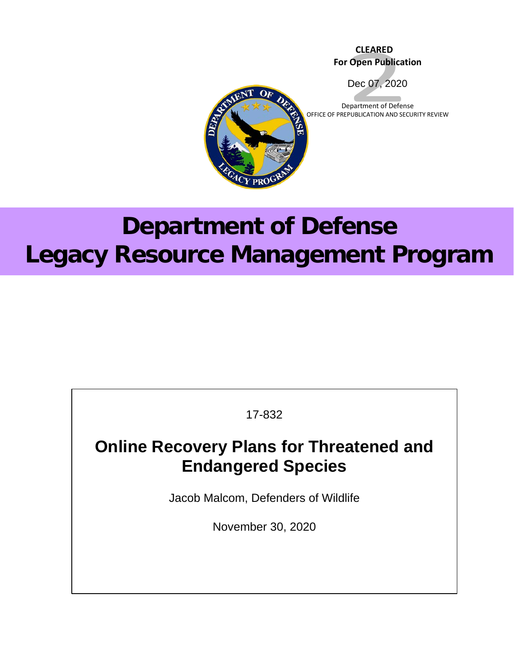# **CLEARED For Open Publication**



Department of Defense OFFICE OF PREPUBLICATION AND SECURITY REVIEW



# **Department of Defense Legacy Resource Management Program**

17-832

# **Online Recovery Plans for Threatened and Endangered Species**

Jacob Malcom, Defenders of Wildlife

November 30, 2020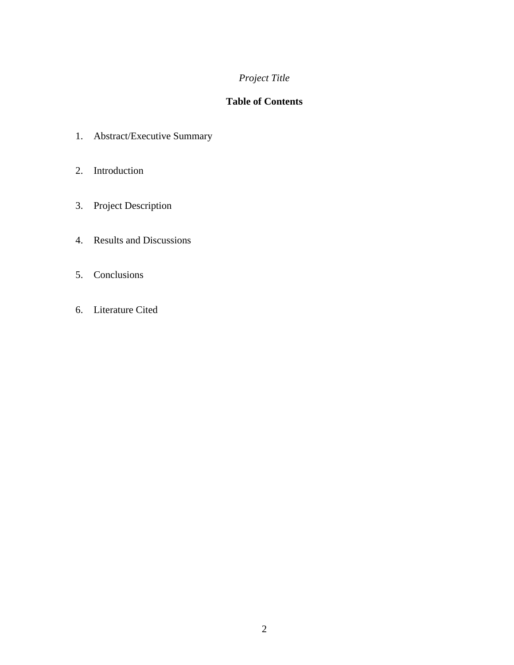# *Project Title*

# **Table of Contents**

- 1. Abstract/Executive Summary
- 2. Introduction
- 3. Project Description
- 4. Results and Discussions
- 5. Conclusions
- 6. Literature Cited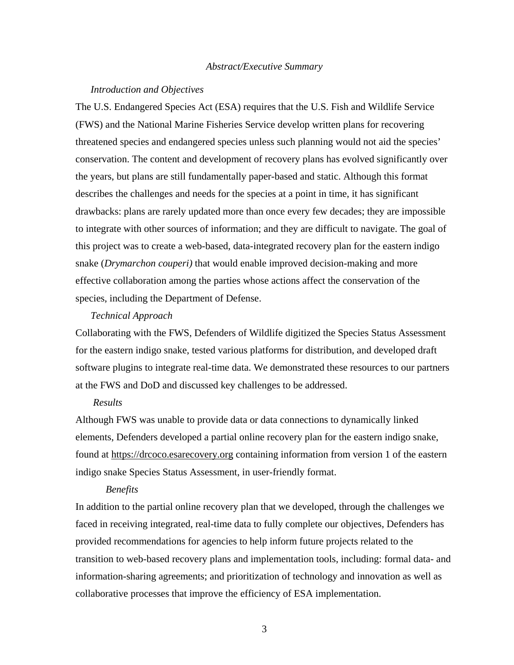#### *Abstract/Executive Summary*

#### *Introduction and Objectives*

The U.S. Endangered Species Act (ESA) requires that the U.S. Fish and Wildlife Service (FWS) and the National Marine Fisheries Service develop written plans for recovering threatened species and endangered species unless such planning would not aid the species' conservation. The content and development of recovery plans has evolved significantly over the years, but plans are still fundamentally paper-based and static. Although this format describes the challenges and needs for the species at a point in time, it has significant drawbacks: plans are rarely updated more than once every few decades; they are impossible to integrate with other sources of information; and they are difficult to navigate. The goal of this project was to create a web-based, data-integrated recovery plan for the eastern indigo snake (*Drymarchon couperi)* that would enable improved decision-making and more effective collaboration among the parties whose actions affect the conservation of the species, including the Department of Defense.

#### *Technical Approach*

Collaborating with the FWS, Defenders of Wildlife digitized the Species Status Assessment for the eastern indigo snake, tested various platforms for distribution, and developed draft software plugins to integrate real-time data. We demonstrated these resources to our partners at the FWS and DoD and discussed key challenges to be addressed.

#### *Results*

Although FWS was unable to provide data or data connections to dynamically linked elements, Defenders developed a partial online recovery plan for the eastern indigo snake, found at [https://drcoco.esarecovery.org](https://drcoco.esarecovery.org/) containing information from version 1 of the eastern indigo snake Species Status Assessment, in user-friendly format.

#### *Benefits*

In addition to the partial online recovery plan that we developed, through the challenges we faced in receiving integrated, real-time data to fully complete our objectives, Defenders has provided recommendations for agencies to help inform future projects related to the transition to web-based recovery plans and implementation tools, including: formal data- and information-sharing agreements; and prioritization of technology and innovation as well as collaborative processes that improve the efficiency of ESA implementation.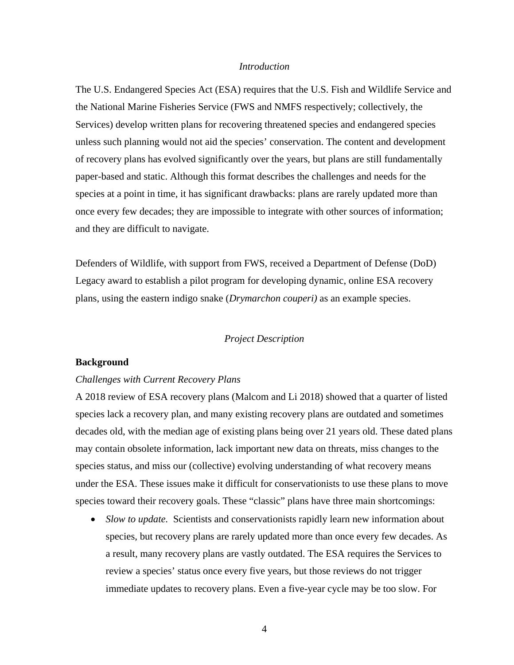#### *Introduction*

The U.S. Endangered Species Act (ESA) requires that the U.S. Fish and Wildlife Service and the National Marine Fisheries Service (FWS and NMFS respectively; collectively, the Services) develop written plans for recovering threatened species and endangered species unless such planning would not aid the species' conservation. The content and development of recovery plans has evolved significantly over the years, but plans are still fundamentally paper-based and static. Although this format describes the challenges and needs for the species at a point in time, it has significant drawbacks: plans are rarely updated more than once every few decades; they are impossible to integrate with other sources of information; and they are difficult to navigate.

Defenders of Wildlife, with support from FWS, received a Department of Defense (DoD) Legacy award to establish a pilot program for developing dynamic, online ESA recovery plans, using the eastern indigo snake (*Drymarchon couperi)* as an example species.

#### *Project Description*

#### **Background**

#### *Challenges with Current Recovery Plans*

A 2018 review of ESA recovery plans (Malcom and Li 2018) showed that a quarter of listed species lack a recovery plan, and many existing recovery plans are outdated and sometimes decades old, with the median age of existing plans being over 21 years old. These dated plans may contain obsolete information, lack important new data on threats, miss changes to the species status, and miss our (collective) evolving understanding of what recovery means under the ESA. These issues make it difficult for conservationists to use these plans to move species toward their recovery goals. These "classic" plans have three main shortcomings:

• *Slow to update.* Scientists and conservationists rapidly learn new information about species, but recovery plans are rarely updated more than once every few decades. As a result, many recovery plans are vastly outdated. The ESA requires the Services to review a species' status once every five years, but those reviews do not trigger immediate updates to recovery plans. Even a five-year cycle may be too slow. For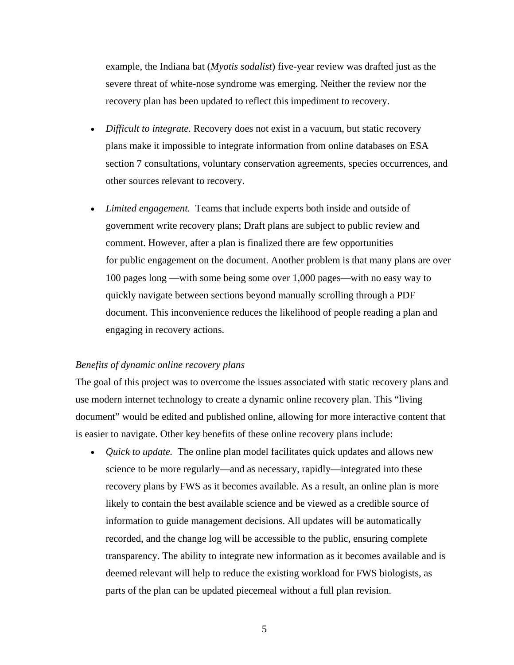example, the Indiana bat (*Myotis sodalist*) five-year review was drafted just as the severe threat of white-nose syndrome was emerging. Neither the review nor the recovery plan has been updated to reflect this impediment to recovery.

- *Difficult to integrate.* Recovery does not exist in a vacuum, but static recovery plans make it impossible to integrate information from online databases on ESA section 7 consultations, voluntary conservation agreements, species occurrences, and other sources relevant to recovery.
- *Limited engagement.* Teams that include experts both inside and outside of government write recovery plans; Draft plans are subject to public review and comment. However, after a plan is finalized there are few opportunities for public engagement on the document. Another problem is that many plans are over 100 pages long —with some being some over 1,000 pages—with no easy way to quickly navigate between sections beyond manually scrolling through a PDF document. This inconvenience reduces the likelihood of people reading a plan and engaging in recovery actions.

#### *Benefits of dynamic online recovery plans*

The goal of this project was to overcome the issues associated with static recovery plans and use modern internet technology to create a dynamic online recovery plan. This "living document" would be edited and published online, allowing for more interactive content that is easier to navigate. Other key benefits of these online recovery plans include:

• *Quick to update.* The online plan model facilitates quick updates and allows new science to be more regularly—and as necessary, rapidly—integrated into these recovery plans by FWS as it becomes available. As a result, an online plan is more likely to contain the best available science and be viewed as a credible source of information to guide management decisions. All updates will be automatically recorded, and the change log will be accessible to the public, ensuring complete transparency. The ability to integrate new information as it becomes available and is deemed relevant will help to reduce the existing workload for FWS biologists, as parts of the plan can be updated piecemeal without a full plan revision.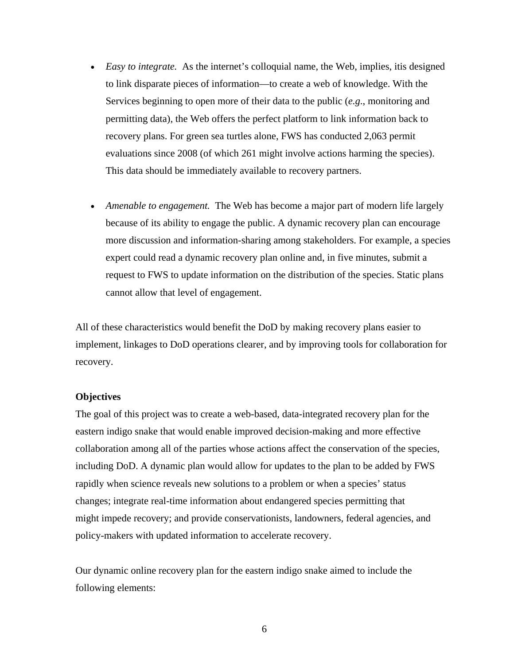- *Easy to integrate.* As the internet's colloquial name, the Web, implies, it is designed to link disparate pieces of information—to create a web of knowledge. With the Services beginning to open more of their data to the public (*e.g*., monitoring and permitting data), the Web offers the perfect platform to link information back to recovery plans. For green sea turtles alone, FWS has conducted 2,063 permit evaluations since 2008 (of which 261 might involve actions harming the species). This data should be immediately available to recovery partners.
- *Amenable to engagement.* The Web has become a major part of modern life largely because of its ability to engage the public. A dynamic recovery plan can encourage more discussion and information-sharing among stakeholders. For example, a species expert could read a dynamic recovery plan online and, in five minutes, submit a request to FWS to update information on the distribution of the species. Static plans cannot allow that level of engagement.

All of these characteristics would benefit the DoD by making recovery plans easier to implement, linkages to DoD operations clearer, and by improving tools for collaboration for recovery.

#### **Objectives**

The goal of this project was to create a web-based, data-integrated recovery plan for the eastern indigo snake that would enable improved decision-making and more effective collaboration among all of the parties whose actions affect the conservation of the species, including DoD. A dynamic plan would allow for updates to the plan to be added by FWS rapidly when science reveals new solutions to a problem or when a species' status changes; integrate real-time information about endangered species permitting that might impede recovery; and provide conservationists, landowners, federal agencies, and policy-makers with updated information to accelerate recovery.

Our dynamic online recovery plan for the eastern indigo snake aimed to include the following elements: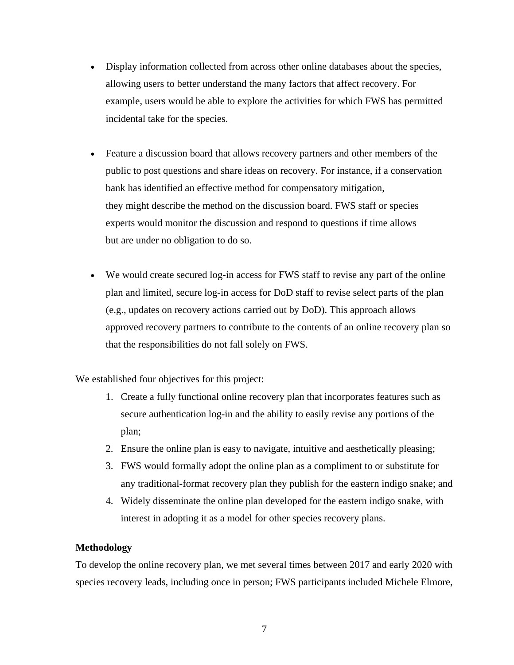- Display information collected from across other online databases about the species, allowing users to better understand the many factors that affect recovery. For example, users would be able to explore the activities for which FWS has permitted incidental take for the species.
- Feature a discussion board that allows recovery partners and other members of the public to post questions and share ideas on recovery. For instance, if a conservation bank has identified an effective method for compensatory mitigation, they might describe the method on the discussion board. FWS staff or species experts would monitor the discussion and respond to questions if time allows but are under no obligation to do so.
- We would create secured log-in access for FWS staff to revise any part of the online plan and limited, secure log-in access for DoD staff to revise select parts of the plan (e.g., updates on recovery actions carried out by DoD). This approach allows approved recovery partners to contribute to the contents of an online recovery plan so that the responsibilities do not fall solely on FWS.

We established four objectives for this project:

- 1. Create a fully functional online recovery plan that incorporates features such as secure authentication log-in and the ability to easily revise any portions of the plan;
- 2. Ensure the online plan is easy to navigate, intuitive and aesthetically pleasing;
- 3. FWS would formally adopt the online plan as a compliment to or substitute for any traditional-format recovery plan they publish for the eastern indigo snake; and
- 4. Widely disseminate the online plan developed for the eastern indigo snake, with interest in adopting it as a model for other species recovery plans.

### **Methodology**

To develop the online recovery plan, we met several times between 2017 and early 2020 with species recovery leads, including once in person; FWS participants included Michele Elmore,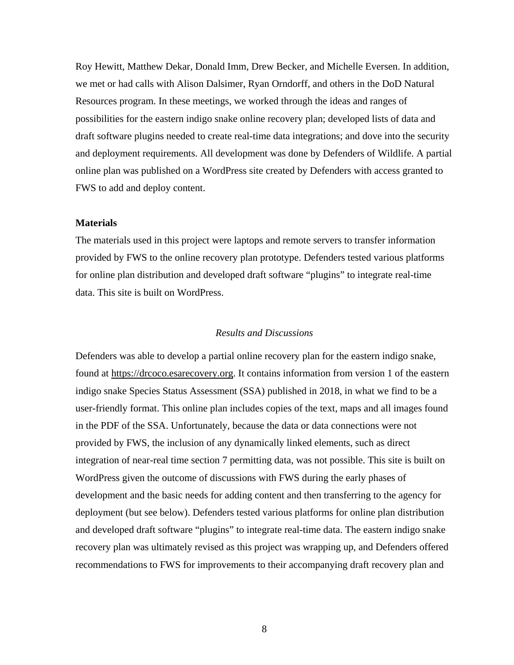Roy Hewitt, Matthew Dekar, Donald Imm, Drew Becker, and Michelle Eversen. In addition, we met or had calls with Alison Dalsimer, Ryan Orndorff, and others in the DoD Natural Resources program. In these meetings, we worked through the ideas and ranges of possibilities for the eastern indigo snake online recovery plan; developed lists of data and draft software plugins needed to create real-time data integrations; and dove into the security and deployment requirements. All development was done by Defenders of Wildlife. A partial online plan was published on a WordPress site created by Defenders with access granted to FWS to add and deploy content.

#### **Materials**

The materials used in this project were laptops and remote servers to transfer information provided by FWS to the online recovery plan prototype. Defenders tested various platforms for online plan distribution and developed draft software "plugins" to integrate real-time data. This site is built on WordPress.

#### *Results and Discussions*

Defenders was able to develop a partial online recovery plan for the eastern indigo snake, found at [https://drcoco.esarecovery.org.](https://drcoco.esarecovery.org/) It contains information from version 1 of the eastern indigo snake Species Status Assessment (SSA) published in 2018, in what we find to be a user-friendly format. This online plan includes copies of the text, maps and all images found in the PDF of the SSA. Unfortunately, because the data or data connections were not provided by FWS, the inclusion of any dynamically linked elements, such as direct integration of near-real time section 7 permitting data, was not possible. This site is built on WordPress given the outcome of discussions with FWS during the early phases of development and the basic needs for adding content and then transferring to the agency for deployment (but see below). Defenders tested various platforms for online plan distribution and developed draft software "plugins" to integrate real-time data. The eastern indigo snake recovery plan was ultimately revised as this project was wrapping up, and Defenders offered recommendations to FWS for improvements to their accompanying draft recovery plan and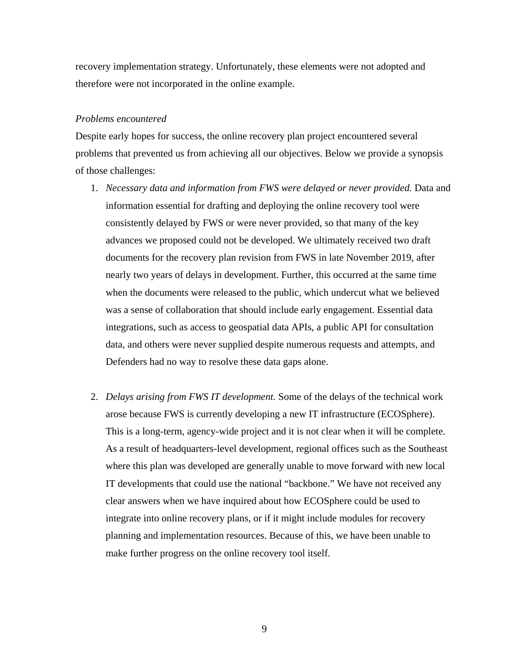recovery implementation strategy. Unfortunately, these elements were not adopted and therefore were not incorporated in the online example.

#### *Problems encountered*

Despite early hopes for success, the online recovery plan project encountered several problems that prevented us from achieving all our objectives. Below we provide a synopsis of those challenges:

- 1. *Necessary data and information from FWS were delayed or never provided.* Data and information essential for drafting and deploying the online recovery tool were consistently delayed by FWS or were never provided, so that many of the key advances we proposed could not be developed. We ultimately received two draft documents for the recovery plan revision from FWS in late November 2019, after nearly two years of delays in development. Further, this occurred at the same time when the documents were released to the public, which undercut what we believed was a sense of collaboration that should include early engagement. Essential data integrations, such as access to geospatial data APIs, a public API for consultation data, and others were never supplied despite numerous requests and attempts, and Defenders had no way to resolve these data gaps alone.
- 2. *Delays arising from FWS IT development.* Some of the delays of the technical work arose because FWS is currently developing a new IT infrastructure (ECOSphere). This is a long-term, agency-wide project and it is not clear when it will be complete. As a result of headquarters-level development, regional offices such as the Southeast where this plan was developed are generally unable to move forward with new local IT developments that could use the national "backbone." We have not received any clear answers when we have inquired about how ECOSphere could be used to integrate into online recovery plans, or if it might include modules for recovery planning and implementation resources. Because of this, we have been unable to make further progress on the online recovery tool itself.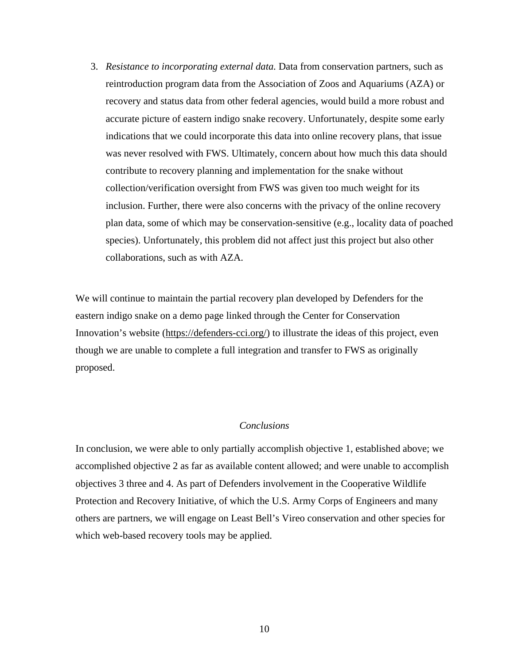3. *Resistance to incorporating external data.* Data from conservation partners, such as reintroduction program data from the Association of Zoos and Aquariums (AZA) or recovery and status data from other federal agencies, would build a more robust and accurate picture of eastern indigo snake recovery. Unfortunately, despite some early indications that we could incorporate this data into online recovery plans, that issue was never resolved with FWS. Ultimately, concern about how much this data should contribute to recovery planning and implementation for the snake without collection/verification oversight from FWS was given too much weight for its inclusion. Further, there were also concerns with the privacy of the online recovery plan data, some of which may be conservation-sensitive (e.g., locality data of poached species). Unfortunately, this problem did not affect just this project but also other collaborations, such as with AZA.

We will continue to maintain the partial recovery plan developed by Defenders for the eastern indigo snake on a demo page linked through the Center for Conservation Innovation's website [\(https://defenders-cci.org/\)](https://defenders-cci.org/) to illustrate the ideas of this project, even though we are unable to complete a full integration and transfer to FWS as originally proposed.

#### *Conclusions*

In conclusion, we were able to only partially accomplish objective 1, established above; we accomplished objective 2 as far as available content allowed; and were unable to accomplish objectives 3 three and 4. As part of Defenders involvement in the Cooperative Wildlife Protection and Recovery Initiative, of which the U.S. Army Corps of Engineers and many others are partners, we will engage on Least Bell's Vireo conservation and other species for which web-based recovery tools may be applied.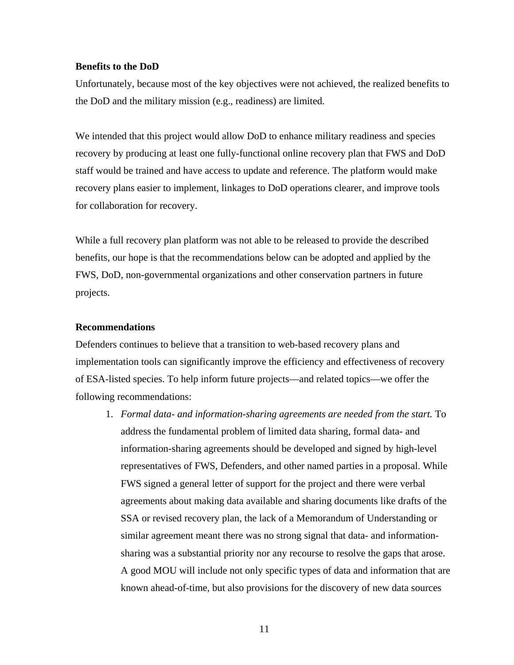#### **Benefits to the DoD**

Unfortunately, because most of the key objectives were not achieved, the realized benefits to the DoD and the military mission (e.g., readiness) are limited.

We intended that this project would allow DoD to enhance military readiness and species recovery by producing at least one fully-functional online recovery plan that FWS and DoD staff would be trained and have access to update and reference. The platform would make recovery plans easier to implement, linkages to DoD operations clearer, and improve tools for collaboration for recovery.

While a full recovery plan platform was not able to be released to provide the described benefits, our hope is that the recommendations below can be adopted and applied by the FWS, DoD, non-governmental organizations and other conservation partners in future projects.

#### **Recommendations**

Defenders continues to believe that a transition to web-based recovery plans and implementation tools can significantly improve the efficiency and effectiveness of recovery of ESA-listed species. To help inform future projects—and related topics—we offer the following recommendations:

1. *Formal data- and information-sharing agreements are needed from the start.* To address the fundamental problem of limited data sharing, formal data- and information-sharing agreements should be developed and signed by high-level representatives of FWS, Defenders, and other named parties in a proposal. While FWS signed a general letter of support for the project and there were verbal agreements about making data available and sharing documents like drafts of the SSA or revised recovery plan, the lack of a Memorandum of Understanding or similar agreement meant there was no strong signal that data- and informationsharing was a substantial priority nor any recourse to resolve the gaps that arose. A good MOU will include not only specific types of data and information that are known ahead-of-time, but also provisions for the discovery of new data sources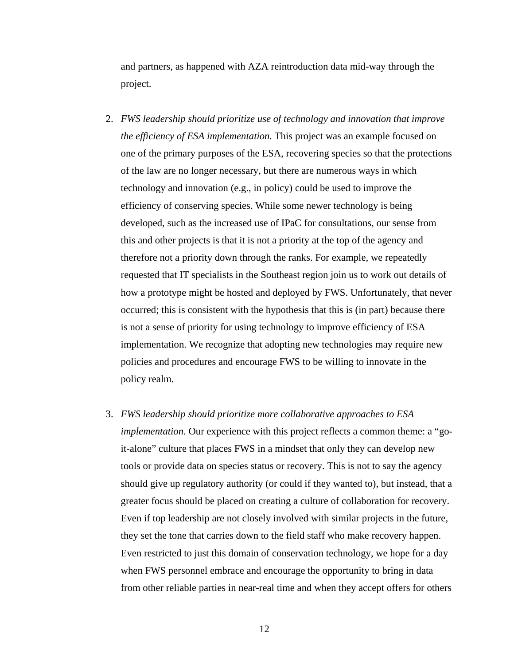and partners, as happened with AZA reintroduction data mid-way through the project.

- 2. *FWS leadership should prioritize use of technology and innovation that improve the efficiency of ESA implementation.* This project was an example focused on one of the primary purposes of the ESA, recovering species so that the protections of the law are no longer necessary, but there are numerous ways in which technology and innovation (e.g., in policy) could be used to improve the efficiency of conserving species. While some newer technology is being developed, such as the increased use of IPaC for consultations, our sense from this and other projects is that it is not a priority at the top of the agency and therefore not a priority down through the ranks. For example, we repeatedly requested that IT specialists in the Southeast region join us to work out details of how a prototype might be hosted and deployed by FWS. Unfortunately, that never occurred; this is consistent with the hypothesis that this is (in part) because there is not a sense of priority for using technology to improve efficiency of ESA implementation. We recognize that adopting new technologies may require new policies and procedures and encourage FWS to be willing to innovate in the policy realm.
- 3. *FWS leadership should prioritize more collaborative approaches to ESA implementation.* Our experience with this project reflects a common theme: a "goit-alone" culture that places FWS in a mindset that only they can develop new tools or provide data on species status or recovery. This is not to say the agency should give up regulatory authority (or could if they wanted to), but instead, that a greater focus should be placed on creating a culture of collaboration for recovery. Even if top leadership are not closely involved with similar projects in the future, they set the tone that carries down to the field staff who make recovery happen. Even restricted to just this domain of conservation technology, we hope for a day when FWS personnel embrace and encourage the opportunity to bring in data from other reliable parties in near-real time and when they accept offers for others